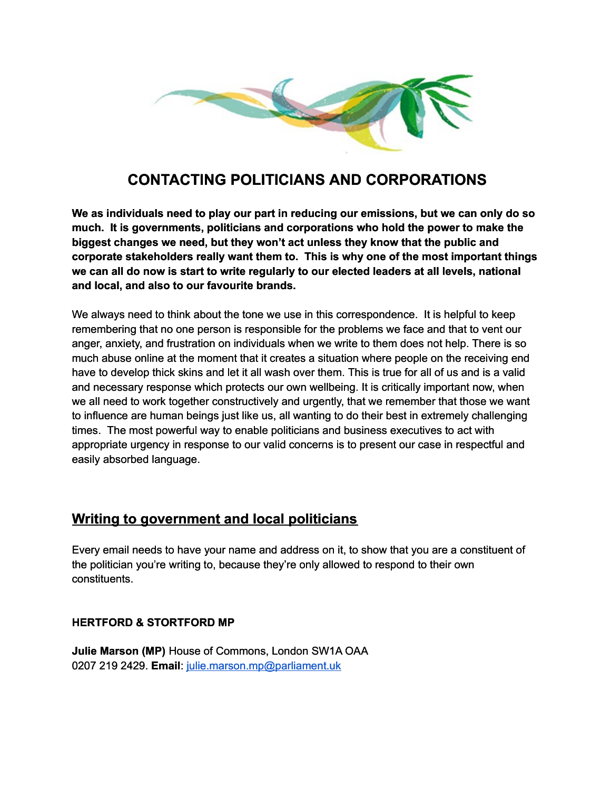

# **CONTACTING POLITICIANS AND CORPORATIONS**

**We as individuals need to play our part in reducing our emissions, but we can only do so much. It is governments, politicians and corporations who hold the power to make the biggest changes we need, but they won't act unless they know that the public and corporate stakeholders really want them to. This is why one of the most important things we can all do now is start to write regularly to our elected leaders at all levels, national and local, and also to our favourite brands.**

We always need to think about the tone we use in this correspondence. It is helpful to keep remembering that no one person is responsible for the problems we face and that to vent our anger, anxiety, and frustration on individuals when we write to them does not help. There is so much abuse online at the moment that it creates a situation where people on the receiving end have to develop thick skins and let it all wash over them. This is true for all of us and is a valid and necessary response which protects our own wellbeing. It is critically important now, when we all need to work together constructively and urgently, that we remember that those we want to influence are human beings just like us, all wanting to do their best in extremely challenging times. The most powerful way to enable politicians and business executives to act with appropriate urgency in response to our valid concerns is to present our case in respectful and easily absorbed language.

## **Writing to government and local politicians**

Every email needs to have your name and address on it, to show that you are a constituent of the politician you're writing to, because they're only allowed to respond to their own constituents.

### **HERTFORD & STORTFORD MP**

**Julie Marson (MP)** House of Commons, London SW1A OAA 0207 219 2429. **Email**: [julie.marson.mp@parliament.uk](mailto:julie.marson.mp@parliament.uk)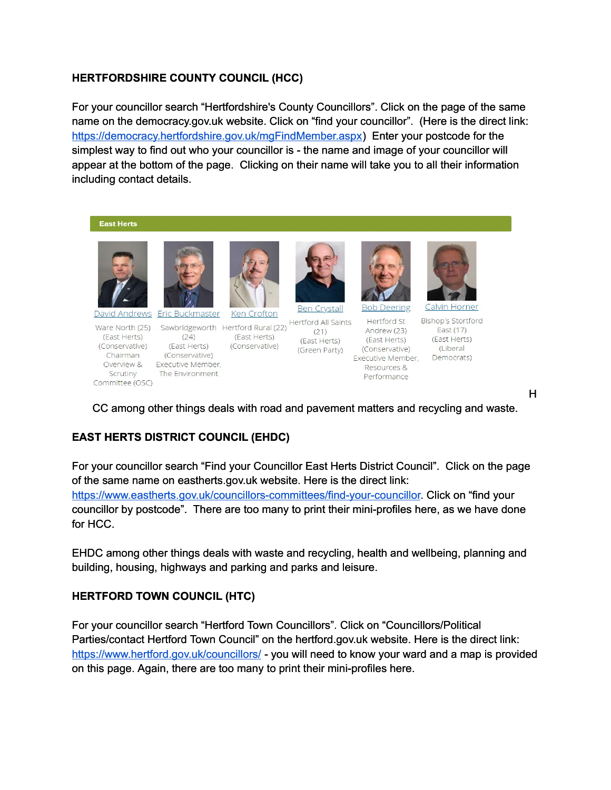#### **HERTFORDSHIRE COUNTY COUNCIL (HCC)**

For your councillor search "Hertfordshire's County Councillors". Click on the page of the same name on the democracy.gov.uk website. Click on "find your councillor". (Here is the direct link: [https://democracy.hertfordshire.gov.uk/mgFindMember.aspx\)](https://democracy.hertfordshire.gov.uk/mgFindMember.aspx) Enter your postcode for the simplest way to find out who your councillor is - the name and image of your councillor will appear at the bottom of the page. Clicking on their name will take you to all their information including contact details.

**East Herts** 



(East Herts)

(Conservative)

Scrutiny

Committee (OSC)

Chairman



 $(24)$ 

(East Herts)

The Environment

(Conservative)

Overview & Executive Member,



(East Herts)

(Conservative)





Ware North (25) Sawbridgeworth Hertford Rural (22) Hertford All Saints<br>
(21) Cast Hertford (21) (21)

(East Herts) (Green Party)



Calvin Horner

**Bishop's Stortford** Hertford St East (17) Andrew (23) (East Herts) (East Herts) (Liberal (Conservative) Executive Member, Democrats) Resources & Performance

H

CC among other things deals with road and pavement matters and recycling and waste.

### **EAST HERTS DISTRICT COUNCIL (EHDC)**

For your councillor search "Find your Councillor East Herts District Council". Click on the page of the same name on eastherts.gov.uk website. Here is the direct link: [https://www.eastherts.gov.uk/councillors-committees/find-your-councillor.](https://www.eastherts.gov.uk/councillors-committees/find-your-councillor) Click on "find your councillor by postcode". There are too many to print their mini-profiles here, as we have done for HCC.

EHDC among other things deals with waste and recycling, health and wellbeing, planning and building, housing, highways and parking and parks and leisure.

#### **HERTFORD TOWN COUNCIL (HTC)**

For your councillor search "Hertford Town Councillors". Click on "Councillors/Political Parties/contact Hertford Town Council" on the hertford.gov.uk website. Here is the direct link: <https://www.hertford.gov.uk/councillors/>- you will need to know your ward and a map is provided on this page. Again, there are too many to print their mini-profiles here.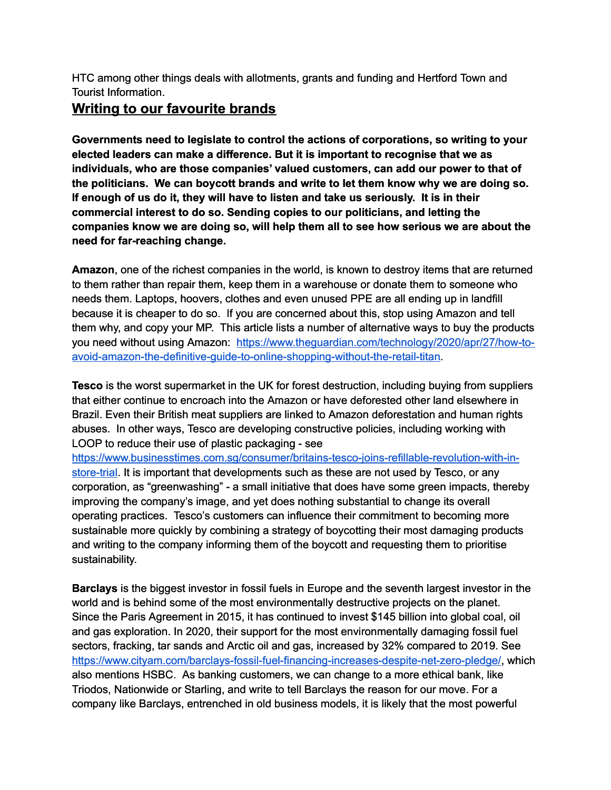HTC among other things deals with allotments, grants and funding and Hertford Town and Tourist Information.

## **Writing to our favourite brands**

**Governments need to legislate to control the actions of corporations, so writing to your elected leaders can make a difference. But it is important to recognise that we as individuals, who are those companies' valued customers, can add our power to that of the politicians. We can boycott brands and write to let them know why we are doing so. If enough of us do it, they will have to listen and take us seriously. It is in their commercial interest to do so. Sending copies to our politicians, and letting the companies know we are doing so, will help them all to see how serious we are about the need for far-reaching change.**

**Amazon**, one of the richest companies in the world, is known to destroy items that are returned to them rather than repair them, keep them in a warehouse or donate them to someone who needs them. Laptops, hoovers, clothes and even unused PPE are all ending up in landfill because it is cheaper to do so. If you are concerned about this, stop using Amazon and tell them why, and copy your MP. This article lists a number of alternative ways to buy the products you need without using Amazon: [https://www.theguardian.com/technology/2020/apr/27/how-to](https://www.theguardian.com/technology/2020/apr/27/how-to-avoid-amazon-the-definitive-guide-to-online-shopping-without-the-retail-titan)[avoid-amazon-the-definitive-guide-to-online-shopping-without-the-retail-titan.](https://www.theguardian.com/technology/2020/apr/27/how-to-avoid-amazon-the-definitive-guide-to-online-shopping-without-the-retail-titan)

**Tesco** is the worst supermarket in the UK for forest destruction, including buying from suppliers that either continue to encroach into the Amazon or have deforested other land elsewhere in Brazil. Even their British meat suppliers are linked to Amazon deforestation and human rights abuses. In other ways, Tesco are developing constructive policies, including working with LOOP to reduce their use of plastic packaging - see

[https://www.businesstimes.com.sg/consumer/britains-tesco-joins-refillable-revolution-with-in](https://www.businesstimes.com.sg/consumer/britains-tesco-joins-refillable-revolution-with-in-store-trial)[store-trial.](https://www.businesstimes.com.sg/consumer/britains-tesco-joins-refillable-revolution-with-in-store-trial) It is important that developments such as these are not used by Tesco, or any corporation, as "greenwashing" - a small initiative that does have some green impacts, thereby improving the company's image, and yet does nothing substantial to change its overall operating practices. Tesco's customers can influence their commitment to becoming more sustainable more quickly by combining a strategy of boycotting their most damaging products and writing to the company informing them of the boycott and requesting them to prioritise sustainability.

**Barclays** is the biggest investor in fossil fuels in Europe and the seventh largest investor in the world and is behind some of the most environmentally destructive projects on the planet. Since the Paris Agreement in 2015, it has continued to invest \$145 billion into global coal, oil and gas exploration. In 2020, their support for the most environmentally damaging fossil fuel sectors, fracking, tar sands and Arctic oil and gas, increased by 32% compared to 2019. See [https://www.cityam.com/barclays-fossil-fuel-financing-increases-despite-net-zero-pledge/,](https://www.cityam.com/barclays-fossil-fuel-financing-increases-despite-net-zero-pledge/) which also mentions HSBC. As banking customers, we can change to a more ethical bank, like Triodos, Nationwide or Starling, and write to tell Barclays the reason for our move. For a company like Barclays, entrenched in old business models, it is likely that the most powerful